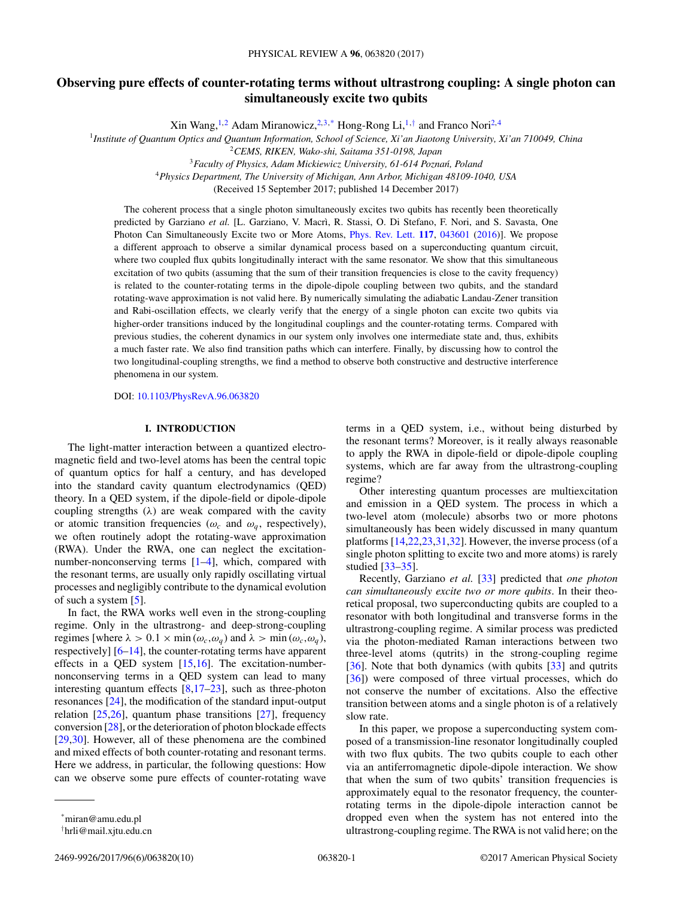# **Observing pure effects of counter-rotating terms without ultrastrong coupling: A single photon can simultaneously excite two qubits**

Xin Wang,<sup>1,2</sup> Adam Miranowicz,<sup>2,3,\*</sup> Hong-Rong Li,<sup>1,†</sup> and Franco Nori<sup>2,4</sup>

<sup>1</sup>*Institute of Quantum Optics and Quantum Information, School of Science, Xi'an Jiaotong University, Xi'an 710049, China*

<sup>3</sup>*Faculty of Physics, Adam Mickiewicz University, 61-614 Poznan, Poland ´*

<sup>4</sup>*Physics Department, The University of Michigan, Ann Arbor, Michigan 48109-1040, USA*

(Received 15 September 2017; published 14 December 2017)

The coherent process that a single photon simultaneously excites two qubits has recently been theoretically predicted by Garziano *et al.* [L. Garziano, V. Macrì, R. Stassi, O. Di Stefano, F. Nori, and S. Savasta, One Photon Can Simultaneously Excite two or More Atoms, [Phys. Rev. Lett.](https://doi.org/10.1103/PhysRevLett.117.043601) **[117](https://doi.org/10.1103/PhysRevLett.117.043601)**, [043601](https://doi.org/10.1103/PhysRevLett.117.043601) [\(2016\)](https://doi.org/10.1103/PhysRevLett.117.043601)]. We propose a different approach to observe a similar dynamical process based on a superconducting quantum circuit, where two coupled flux qubits longitudinally interact with the same resonator. We show that this simultaneous excitation of two qubits (assuming that the sum of their transition frequencies is close to the cavity frequency) is related to the counter-rotating terms in the dipole-dipole coupling between two qubits, and the standard rotating-wave approximation is not valid here. By numerically simulating the adiabatic Landau-Zener transition and Rabi-oscillation effects, we clearly verify that the energy of a single photon can excite two qubits via higher-order transitions induced by the longitudinal couplings and the counter-rotating terms. Compared with previous studies, the coherent dynamics in our system only involves one intermediate state and, thus, exhibits a much faster rate. We also find transition paths which can interfere. Finally, by discussing how to control the two longitudinal-coupling strengths, we find a method to observe both constructive and destructive interference phenomena in our system.

DOI: [10.1103/PhysRevA.96.063820](https://doi.org/10.1103/PhysRevA.96.063820)

### **I. INTRODUCTION**

The light-matter interaction between a quantized electromagnetic field and two-level atoms has been the central topic of quantum optics for half a century, and has developed into the standard cavity quantum electrodynamics (QED) theory. In a QED system, if the dipole-field or dipole-dipole coupling strengths (*λ*) are weak compared with the cavity or atomic transition frequencies ( $\omega_c$  and  $\omega_q$ , respectively), we often routinely adopt the rotating-wave approximation (RWA). Under the RWA, one can neglect the excitationnumber-nonconserving terms [\[1–4\]](#page-7-0), which, compared with the resonant terms, are usually only rapidly oscillating virtual processes and negligibly contribute to the dynamical evolution of such a system [\[5\]](#page-7-0).

In fact, the RWA works well even in the strong-coupling regime. Only in the ultrastrong- and deep-strong-coupling regimes [where  $\lambda > 0.1 \times \min(\omega_c, \omega_q)$  and  $\lambda > \min(\omega_c, \omega_q)$ , respectively] [\[6–14\]](#page-7-0), the counter-rotating terms have apparent effects in a QED system [\[15,16\]](#page-7-0). The excitation-numbernonconserving terms in a QED system can lead to many interesting quantum effects  $[8,17-23]$ , such as three-photon resonances [\[24\]](#page-8-0), the modification of the standard input-output relation  $[25,26]$ , quantum phase transitions  $[27]$ , frequency conversion [\[28\]](#page-8-0), or the deterioration of photon blockade effects [\[29,30\]](#page-8-0). However, all of these phenomena are the combined and mixed effects of both counter-rotating and resonant terms. Here we address, in particular, the following questions: How can we observe some pure effects of counter-rotating wave

terms in a QED system, i.e., without being disturbed by the resonant terms? Moreover, is it really always reasonable to apply the RWA in dipole-field or dipole-dipole coupling systems, which are far away from the ultrastrong-coupling regime?

Other interesting quantum processes are multiexcitation and emission in a QED system. The process in which a two-level atom (molecule) absorbs two or more photons simultaneously has been widely discussed in many quantum platforms [\[14,22,23,](#page-7-0)[31,32\]](#page-8-0). However, the inverse process (of a single photon splitting to excite two and more atoms) is rarely studied [\[33–35\]](#page-8-0).

Recently, Garziano *et al.* [\[33\]](#page-8-0) predicted that *one photon can simultaneously excite two or more qubits*. In their theoretical proposal, two superconducting qubits are coupled to a resonator with both longitudinal and transverse forms in the ultrastrong-coupling regime. A similar process was predicted via the photon-mediated Raman interactions between two three-level atoms (qutrits) in the strong-coupling regime [\[36\]](#page-8-0). Note that both dynamics (with qubits [\[33\]](#page-8-0) and qutrits [\[36\]](#page-8-0)) were composed of three virtual processes, which do not conserve the number of excitations. Also the effective transition between atoms and a single photon is of a relatively slow rate.

In this paper, we propose a superconducting system composed of a transmission-line resonator longitudinally coupled with two flux qubits. The two qubits couple to each other via an antiferromagnetic dipole-dipole interaction. We show that when the sum of two qubits' transition frequencies is approximately equal to the resonator frequency, the counterrotating terms in the dipole-dipole interaction cannot be dropped even when the system has not entered into the ultrastrong-coupling regime. The RWA is not valid here; on the

<sup>2</sup>*CEMS, RIKEN, Wako-shi, Saitama 351-0198, Japan*

<sup>\*</sup>miran@amu.edu.pl

<sup>†</sup> hrli@mail.xjtu.edu.cn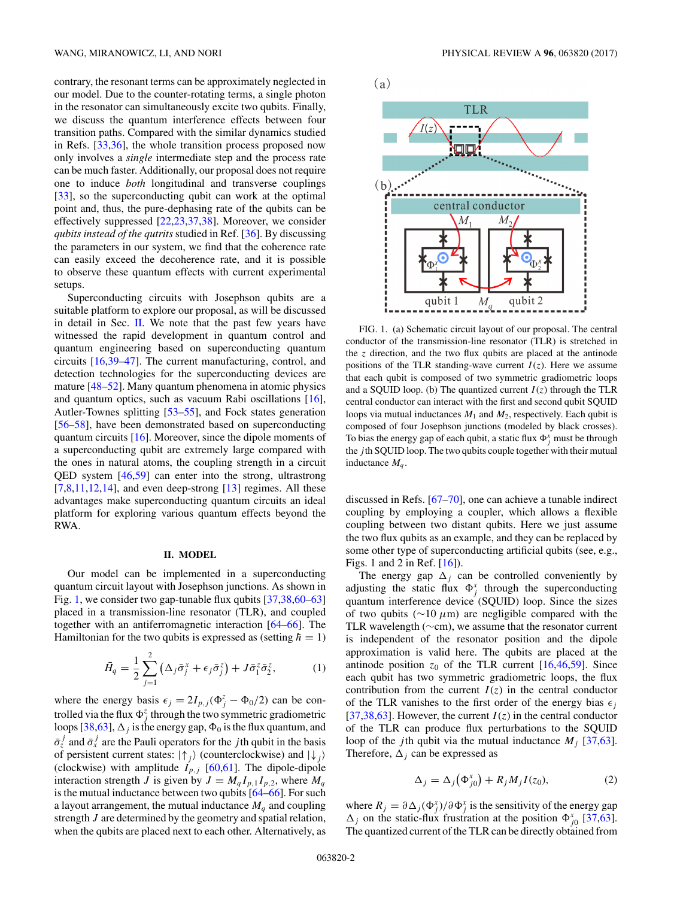<span id="page-1-0"></span>contrary, the resonant terms can be approximately neglected in our model. Due to the counter-rotating terms, a single photon in the resonator can simultaneously excite two qubits. Finally, we discuss the quantum interference effects between four transition paths. Compared with the similar dynamics studied in Refs. [\[33,36\]](#page-8-0), the whole transition process proposed now only involves a *single* intermediate step and the process rate can be much faster. Additionally, our proposal does not require one to induce *both* longitudinal and transverse couplings [\[33\]](#page-8-0), so the superconducting qubit can work at the optimal point and, thus, the pure-dephasing rate of the qubits can be effectively suppressed [\[22,23](#page-7-0)[,37,38\]](#page-8-0). Moreover, we consider *qubits instead of the qutrits* studied in Ref. [\[36\]](#page-8-0). By discussing the parameters in our system, we find that the coherence rate can easily exceed the decoherence rate, and it is possible to observe these quantum effects with current experimental setups.

Superconducting circuits with Josephson qubits are a suitable platform to explore our proposal, as will be discussed in detail in Sec. II. We note that the past few years have witnessed the rapid development in quantum control and quantum engineering based on superconducting quantum circuits [\[16](#page-7-0)[,39–47\]](#page-8-0). The current manufacturing, control, and detection technologies for the superconducting devices are mature [\[48–52\]](#page-8-0). Many quantum phenomena in atomic physics and quantum optics, such as vacuum Rabi oscillations [\[16\]](#page-7-0), Autler-Townes splitting [\[53–55\]](#page-8-0), and Fock states generation [\[56–58\]](#page-8-0), have been demonstrated based on superconducting quantum circuits [\[16\]](#page-7-0). Moreover, since the dipole moments of a superconducting qubit are extremely large compared with the ones in natural atoms, the coupling strength in a circuit QED system [\[46,59\]](#page-8-0) can enter into the strong, ultrastrong  $[7,8,11,12,14]$ , and even deep-strong  $[13]$  regimes. All these advantages make superconducting quantum circuits an ideal platform for exploring various quantum effects beyond the RWA.

#### **II. MODEL**

Our model can be implemented in a superconducting quantum circuit layout with Josephson junctions. As shown in Fig. 1, we consider two gap-tunable flux qubits [\[37,38,60–](#page-8-0)[63\]](#page-9-0) placed in a transmission-line resonator (TLR), and coupled together with an antiferromagnetic interaction [\[64–66\]](#page-9-0). The Hamiltonian for the two qubits is expressed as (setting  $\hbar = 1$ )

$$
\bar{H}_q = \frac{1}{2} \sum_{j=1}^2 \left( \Delta_j \bar{\sigma}_j^x + \epsilon_j \bar{\sigma}_j^z \right) + J \bar{\sigma}_1^z \bar{\sigma}_2^z, \tag{1}
$$

where the energy basis  $\epsilon_j = 2I_{p,j}(\Phi_j^z - \Phi_0/2)$  can be controlled via the flux  $\Phi_j^z$  through the two symmetric gradiometric loops [\[38](#page-8-0)[,63\]](#page-9-0),  $\Delta_j$  is the energy gap,  $\Phi_0$  is the flux quantum, and  $\bar{\sigma}_z^j$  and  $\bar{\sigma}_x^j$  are the Pauli operators for the *j* th qubit in the basis of persistent current states:  $|\uparrow_j\rangle$  (counterclockwise) and  $|\downarrow_j\rangle$ (clockwise) with amplitude  $I_{p,j}$  [\[60,61\]](#page-8-0). The dipole-dipole interaction strength *J* is given by  $J = M_q I_{p,1} I_{p,2}$ , where  $M_q$ is the mutual inductance between two qubits [\[64–66\]](#page-9-0). For such a layout arrangement, the mutual inductance  $M_q$  and coupling strength *J* are determined by the geometry and spatial relation, when the qubits are placed next to each other. Alternatively, as



FIG. 1. (a) Schematic circuit layout of our proposal. The central conductor of the transmission-line resonator (TLR) is stretched in the *z* direction, and the two flux qubits are placed at the antinode positions of the TLR standing-wave current  $I(z)$ . Here we assume that each qubit is composed of two symmetric gradiometric loops and a SQUID loop. (b) The quantized current  $I(z)$  through the TLR central conductor can interact with the first and second qubit SQUID loops via mutual inductances  $M_1$  and  $M_2$ , respectively. Each qubit is composed of four Josephson junctions (modeled by black crosses). To bias the energy gap of each qubit, a static flux  $\Phi_j^x$  must be through the *j* th SQUID loop. The two qubits couple together with their mutual inductance *Mq* .

discussed in Refs. [\[67–70\]](#page-9-0), one can achieve a tunable indirect coupling by employing a coupler, which allows a flexible coupling between two distant qubits. Here we just assume the two flux qubits as an example, and they can be replaced by some other type of superconducting artificial qubits (see, e.g., Figs. 1 and 2 in Ref. [\[16\]](#page-7-0)).

The energy gap  $\Delta_i$  can be controlled conveniently by adjusting the static flux  $\Phi_j^x$  through the superconducting quantum interference device (SQUID) loop. Since the sizes of two qubits (∼10 *μ*m) are negligible compared with the TLR wavelength (∼cm), we assume that the resonator current is independent of the resonator position and the dipole approximation is valid here. The qubits are placed at the antinode position  $z_0$  of the TLR current  $[16,46,59]$  $[16,46,59]$ . Since each qubit has two symmetric gradiometric loops, the flux contribution from the current  $I(z)$  in the central conductor of the TLR vanishes to the first order of the energy bias  $\epsilon_i$ [\[37,38,](#page-8-0)[63\]](#page-9-0). However, the current  $I(z)$  in the central conductor of the TLR can produce flux perturbations to the SQUID loop of the *j*th qubit via the mutual inductance  $M_i$  [\[37](#page-8-0)[,63\]](#page-9-0). Therefore,  $\Delta_i$  can be expressed as

$$
\Delta_j = \Delta_j \left( \Phi_{j0}^x \right) + R_j M_j I(z_0), \tag{2}
$$

where  $R_j = \partial \Delta_j(\Phi_j^x)/\partial \Phi_j^x$  is the sensitivity of the energy gap  $\Delta_j$  on the static-flux frustration at the position  $\Phi_{j0}^x$  [\[37](#page-8-0)[,63\]](#page-9-0). The quantized current of the TLR can be directly obtained from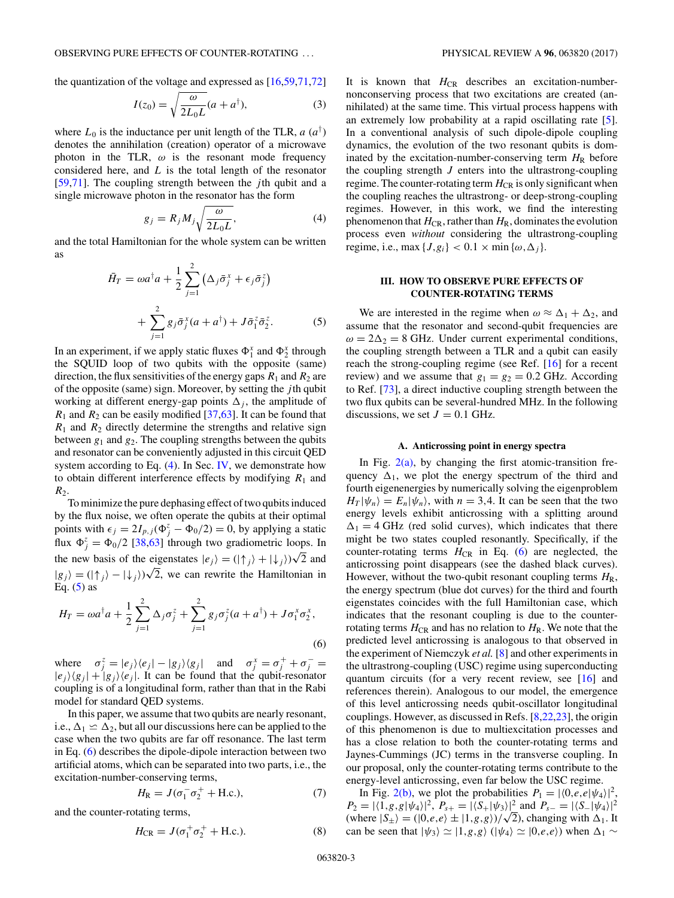<span id="page-2-0"></span>the quantization of the voltage and expressed as [\[16,](#page-7-0)[59,](#page-8-0)[71,72\]](#page-9-0)

$$
I(z_0) = \sqrt{\frac{\omega}{2L_0L}}(a + a^{\dagger}),
$$
\n(3)

where  $L_0$  is the inductance per unit length of the TLR,  $a(a^{\dagger})$ denotes the annihilation (creation) operator of a microwave photon in the TLR,  $\omega$  is the resonant mode frequency considered here, and *L* is the total length of the resonator [\[59](#page-8-0)[,71\]](#page-9-0). The coupling strength between the *j* th qubit and a single microwave photon in the resonator has the form

$$
g_j = R_j M_j \sqrt{\frac{\omega}{2L_0 L}},\tag{4}
$$

and the total Hamiltonian for the whole system can be written as

$$
\bar{H}_T = \omega a^\dagger a + \frac{1}{2} \sum_{j=1}^2 \left( \Delta_j \bar{\sigma}_j^x + \epsilon_j \bar{\sigma}_j^z \right) + \sum_{j=1}^2 g_j \bar{\sigma}_j^x (a + a^\dagger) + J \bar{\sigma}_1^z \bar{\sigma}_2^z.
$$
 (5)

In an experiment, if we apply static fluxes  $\Phi_1^x$  and  $\Phi_2^x$  through the SQUID loop of two qubits with the opposite (same) direction, the flux sensitivities of the energy gaps  $R_1$  and  $R_2$  are of the opposite (same) sign. Moreover, by setting the *j* th qubit working at different energy-gap points  $\Delta_i$ , the amplitude of  $R_1$  and  $R_2$  can be easily modified [\[37](#page-8-0)[,63\]](#page-9-0). It can be found that  $R_1$  and  $R_2$  directly determine the strengths and relative sign between  $g_1$  and  $g_2$ . The coupling strengths between the qubits and resonator can be conveniently adjusted in this circuit QED system according to Eq.  $(4)$ . In Sec. [IV,](#page-4-0) we demonstrate how to obtain different interference effects by modifying  $R_1$  and  $R<sub>2</sub>$ .

To minimize the pure dephasing effect of two qubits induced by the flux noise, we often operate the qubits at their optimal points with  $\epsilon_j = 2I_{p,j}(\Phi_j^z - \Phi_0/2) = 0$ , by applying a static flux  $\Phi_j^z = \Phi_0/2$  [\[38](#page-8-0)[,63\]](#page-9-0) through two gradiometric loops. In the new basis of the eigenstates  $|e_j\rangle = (|\uparrow_j\rangle + |\downarrow_j\rangle)\sqrt{2}$  and  $|g_j\rangle = (|\uparrow_j\rangle - |\downarrow_j\rangle)\sqrt{2}$ , we can rewrite the Hamiltonian in Eq.  $(5)$  as

$$
H_T = \omega a^{\dagger} a + \frac{1}{2} \sum_{j=1}^{2} \Delta_j \sigma_j^z + \sum_{j=1}^{2} g_j \sigma_j^z (a + a^{\dagger}) + J \sigma_1^x \sigma_2^x,
$$
\n(6)

where  $\sigma_j^z = |e_j\rangle\langle e_j| - |g_j\rangle\langle g_j|$  and  $\sigma_j^x = \sigma_j^+ + \sigma_j^- =$  $|e_i\rangle\langle g_i| + |g_i\rangle\langle e_i|$ . It can be found that the qubit-resonator coupling is of a longitudinal form, rather than that in the Rabi model for standard QED systems.

In this paper, we assume that two qubits are nearly resonant, i.e.,  $\Delta_1 \simeq \Delta_2$ , but all our discussions here can be applied to the case when the two qubits are far off resonance. The last term in Eq. (6) describes the dipole-dipole interaction between two artificial atoms, which can be separated into two parts, i.e., the excitation-number-conserving terms,

$$
H_{\rm R} = J(\sigma_1^- \sigma_2^+ + \text{H.c.}),\tag{7}
$$

and the counter-rotating terms,

$$
H_{\rm CR} = J(\sigma_1^+ \sigma_2^+ + \text{H.c.}).
$$
 (8)

It is known that  $H_{CR}$  describes an excitation-numbernonconserving process that two excitations are created (annihilated) at the same time. This virtual process happens with an extremely low probability at a rapid oscillating rate [\[5\]](#page-7-0). In a conventional analysis of such dipole-dipole coupling dynamics, the evolution of the two resonant qubits is dominated by the excitation-number-conserving term  $H_R$  before the coupling strength  $J$  enters into the ultrastrong-coupling regime. The counter-rotating term  $H_{CR}$  is only significant when the coupling reaches the ultrastrong- or deep-strong-coupling regimes. However, in this work, we find the interesting phenomenon that  $H_{CR}$ , rather than  $H_R$ , dominates the evolution process even *without* considering the ultrastrong-coupling regime, i.e., max  $\{J, g_i\} < 0.1 \times \min{\{\omega, \Delta_i\}}$ .

## **III. HOW TO OBSERVE PURE EFFECTS OF COUNTER-ROTATING TERMS**

We are interested in the regime when  $\omega \approx \Delta_1 + \Delta_2$ , and assume that the resonator and second-qubit frequencies are  $\omega = 2\Delta_2 = 8$  GHz. Under current experimental conditions, the coupling strength between a TLR and a qubit can easily reach the strong-coupling regime (see Ref. [\[16\]](#page-7-0) for a recent review) and we assume that  $g_1 = g_2 = 0.2$  GHz. According to Ref. [\[73\]](#page-9-0), a direct inductive coupling strength between the two flux qubits can be several-hundred MHz. In the following discussions, we set  $J = 0.1$  GHz.

#### **A. Anticrossing point in energy spectra**

In Fig.  $2(a)$ , by changing the first atomic-transition frequency  $\Delta_1$ , we plot the energy spectrum of the third and fourth eigenenergies by numerically solving the eigenproblem  $H_T |\psi_n\rangle = E_n |\psi_n\rangle$ , with  $n = 3, 4$ . It can be seen that the two energy levels exhibit anticrossing with a splitting around  $\Delta_1 = 4$  GHz (red solid curves), which indicates that there might be two states coupled resonantly. Specifically, if the counter-rotating terms  $H_{CR}$  in Eq. (6) are neglected, the anticrossing point disappears (see the dashed black curves). However, without the two-qubit resonant coupling terms  $H_R$ , the energy spectrum (blue dot curves) for the third and fourth eigenstates coincides with the full Hamiltonian case, which indicates that the resonant coupling is due to the counterrotating terms  $H_{CR}$  and has no relation to  $H_{R}$ . We note that the predicted level anticrossing is analogous to that observed in the experiment of Niemczyk *et al.* [\[8\]](#page-7-0) and other experiments in the ultrastrong-coupling (USC) regime using superconducting quantum circuits (for a very recent review, see [\[16\]](#page-7-0) and references therein). Analogous to our model, the emergence of this level anticrossing needs qubit-oscillator longitudinal couplings. However, as discussed in Refs. [\[8,22,23\]](#page-7-0), the origin of this phenomenon is due to multiexcitation processes and has a close relation to both the counter-rotating terms and Jaynes-Cummings (JC) terms in the transverse coupling. In our proposal, only the counter-rotating terms contribute to the energy-level anticrossing, even far below the USC regime.

In Fig. [2\(b\),](#page-3-0) we plot the probabilities  $P_1 = |\langle 0, e, e | \psi_4 \rangle|^2$ ,  $P_2 = |\langle 1, g, g | \psi_4 \rangle|^2$ ,  $P_{s+} = |\langle S_+ | \psi_3 \rangle|^2$  and  $P_{s-} = |\langle S_- | \psi_4 \rangle|^2$  $P_2 = |\langle 1, g, g | \psi_4 \rangle|^2$ ,  $P_{s+} = |\langle 3_+ | \psi_3 \rangle|^2$  and  $P_{s-} = |\langle 3_- | \psi_4 \rangle|^2$ <br>(where  $|S_{\pm}\rangle = (|0, e, e\rangle \pm |1, g, g\rangle)/\sqrt{2}$ ), changing with  $\Delta_1$ . It can be seen that  $|\psi_3\rangle \simeq |1,g,g\rangle$  ( $|\psi_4\rangle \simeq |0,e,e\rangle$ ) when  $\Delta_1 \sim$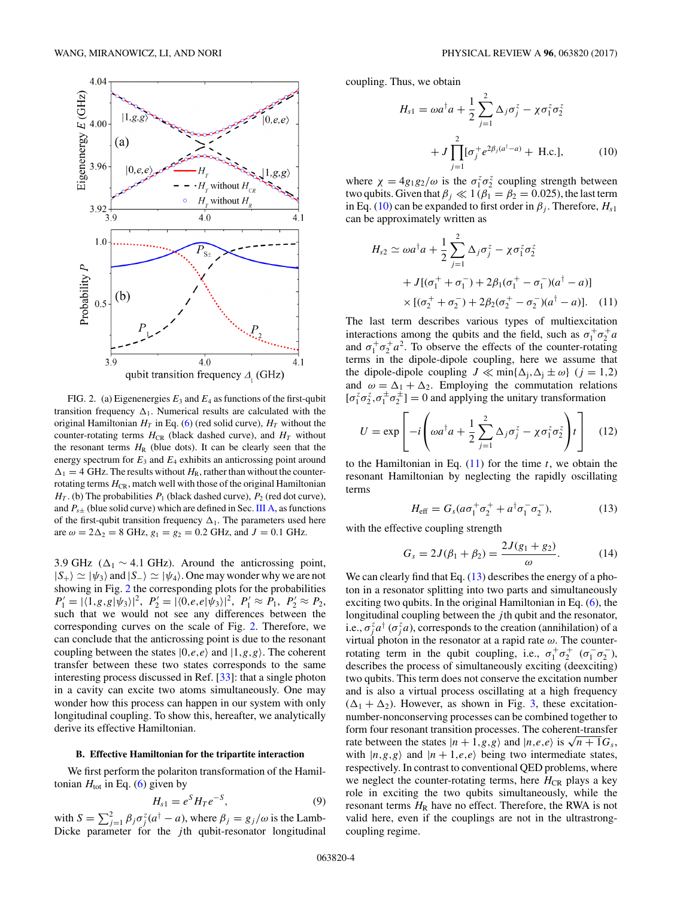<span id="page-3-0"></span>

FIG. 2. (a) Eigenenergies  $E_3$  and  $E_4$  as functions of the first-qubit transition frequency  $\Delta_1$ . Numerical results are calculated with the original Hamiltonian  $H_T$  in Eq. [\(6\)](#page-2-0) (red solid curve),  $H_T$  without the counter-rotating terms  $H_{CR}$  (black dashed curve), and  $H_T$  without the resonant terms  $H<sub>R</sub>$  (blue dots). It can be clearly seen that the energy spectrum for  $E_3$  and  $E_4$  exhibits an anticrossing point around  $\Delta_1 = 4$  GHz. The results without  $H_R$ , rather than without the counterrotating terms  $H_{CR}$ , match well with those of the original Hamiltonian  $H_T$ . (b) The probabilities  $P_1$  (black dashed curve),  $P_2$  (red dot curve), and  $P_{s\pm}$  (blue solid curve) which are defined in Sec. [III A,](#page-2-0) as functions of the first-qubit transition frequency  $\Delta_1$ . The parameters used here are  $\omega = 2\Delta_2 = 8$  GHz,  $g_1 = g_2 = 0.2$  GHz, and  $J = 0.1$  GHz.

3.9 GHz ( $\Delta_1$  ~ 4.1 GHz). Around the anticrossing point,  $|S_+\rangle \simeq |\psi_3\rangle$  and  $|S_-\rangle \simeq |\psi_4\rangle$ . One may wonder why we are not showing in Fig. 2 the corresponding plots for the probabilities  $P'_1 = |\langle 1, g, g | \psi_3 \rangle|^2$ ,  $P'_2 = |\langle 0, e, e | \psi_3 \rangle|^2$ ,  $P'_1 \approx P_1$ ,  $P'_2 \approx P_2$ , such that we would not see any differences between the corresponding curves on the scale of Fig. 2. Therefore, we can conclude that the anticrossing point is due to the resonant coupling between the states  $|0,e,e\rangle$  and  $|1,g,g\rangle$ . The coherent transfer between these two states corresponds to the same interesting process discussed in Ref. [\[33\]](#page-8-0): that a single photon in a cavity can excite two atoms simultaneously. One may wonder how this process can happen in our system with only longitudinal coupling. To show this, hereafter, we analytically derive its effective Hamiltonian.

### **B. Effective Hamiltonian for the tripartite interaction**

We first perform the polariton transformation of the Hamiltonian  $H_{\text{tot}}$  in Eq. [\(6\)](#page-2-0) given by

$$
H_{s1}=e^{S}H_{T}e^{-S},\qquad \qquad (9)
$$

with  $S = \sum_{j=1}^{2} \beta_j \sigma_j^z (a^{\dagger} - a)$ , where  $\beta_j = g_j/\omega$  is the Lamb-Dicke parameter for the *j* th qubit-resonator longitudinal coupling. Thus, we obtain

$$
H_{s1} = \omega a^{\dagger} a + \frac{1}{2} \sum_{j=1}^{2} \Delta_{j} \sigma_{j}^{z} - \chi \sigma_{1}^{z} \sigma_{2}^{z}
$$

$$
+ J \prod_{j=1}^{2} [\sigma_{j}^{+} e^{2\beta_{j}(a^{\dagger}-a)} + \text{H.c.}], \qquad (10)
$$

where  $\chi = 4g_1g_2/\omega$  is the  $\sigma_1^z \sigma_2^z$  coupling strength between two qubits. Given that  $\beta_j \ll 1$  ( $\beta_1 = \beta_2 = 0.025$ ), the last term in Eq. (10) can be expanded to first order in  $\beta_i$ . Therefore,  $H_{s1}$ can be approximately written as

$$
H_{s2} \simeq \omega a^{\dagger} a + \frac{1}{2} \sum_{j=1}^{2} \Delta_{j} \sigma_{j}^{z} - \chi \sigma_{1}^{z} \sigma_{2}^{z}
$$
  
+  $J[(\sigma_{1}^{+} + \sigma_{1}^{-}) + 2\beta_{1}(\sigma_{1}^{+} - \sigma_{1}^{-})(a^{\dagger} - a)]$   
×  $[(\sigma_{2}^{+} + \sigma_{2}^{-}) + 2\beta_{2}(\sigma_{2}^{+} - \sigma_{2}^{-})(a^{\dagger} - a)].$  (11)

The last term describes various types of multiexcitation interactions among the qubits and the field, such as  $\sigma_1^+ \sigma_2^+ a$ and  $\sigma_1^+ \sigma_2^+ a^2$ . To observe the effects of the counter-rotating terms in the dipole-dipole coupling, here we assume that the dipole-dipole coupling  $J \ll \min{\{\Delta_i, \Delta_i \pm \omega\}}$  (*j* = 1,2) and  $\omega = \Delta_1 + \Delta_2$ . Employing the commutation relations  $[\sigma_1^z \sigma_2^z, \sigma_1^{\pm} \sigma_2^{\pm}] = 0$  and applying the unitary transformation

$$
U = \exp\left[-i\left(\omega a^{\dagger} a + \frac{1}{2}\sum_{j=1}^{2} \Delta_{j} \sigma_{j}^{z} - \chi \sigma_{1}^{z} \sigma_{2}^{z}\right)t\right]
$$
 (12)

to the Hamiltonian in Eq. (11) for the time *t*, we obtain the resonant Hamiltonian by neglecting the rapidly oscillating terms

$$
H_{\rm eff} = G_s (a\sigma_1^+ \sigma_2^+ + a^\dagger \sigma_1^- \sigma_2^-), \tag{13}
$$

with the effective coupling strength

$$
G_s = 2J(\beta_1 + \beta_2) = \frac{2J(g_1 + g_2)}{\omega}.
$$
 (14)

We can clearly find that Eq.  $(13)$  describes the energy of a photon in a resonator splitting into two parts and simultaneously exciting two qubits. In the original Hamiltonian in Eq. [\(6\)](#page-2-0), the longitudinal coupling between the *j* th qubit and the resonator, i.e.,  $\sigma_j^z a^\dagger$  ( $\sigma_j^z a$ ), corresponds to the creation (annihilation) of a virtual photon in the resonator at a rapid rate *ω*. The counterrotating term in the qubit coupling, i.e.,  $\sigma_1^+ \sigma_2^+$  ( $\sigma_1^- \sigma_2^-$ ), describes the process of simultaneously exciting (deexciting) two qubits. This term does not conserve the excitation number and is also a virtual process oscillating at a high frequency  $(\Delta_1 + \Delta_2)$ . However, as shown in Fig. [3,](#page-4-0) these excitationnumber-nonconserving processes can be combined together to form four resonant transition processes. The coherent-transfer rate between the states  $|n+1,g,g\rangle$  and  $|n,e,e\rangle$  is  $\sqrt{n+1}G_s$ , with  $|n,g,g\rangle$  and  $|n+1,e,e\rangle$  being two intermediate states, respectively. In contrast to conventional QED problems, where we neglect the counter-rotating terms, here  $H_{CR}$  plays a key role in exciting the two qubits simultaneously, while the resonant terms  $H<sub>R</sub>$  have no effect. Therefore, the RWA is not valid here, even if the couplings are not in the ultrastrongcoupling regime.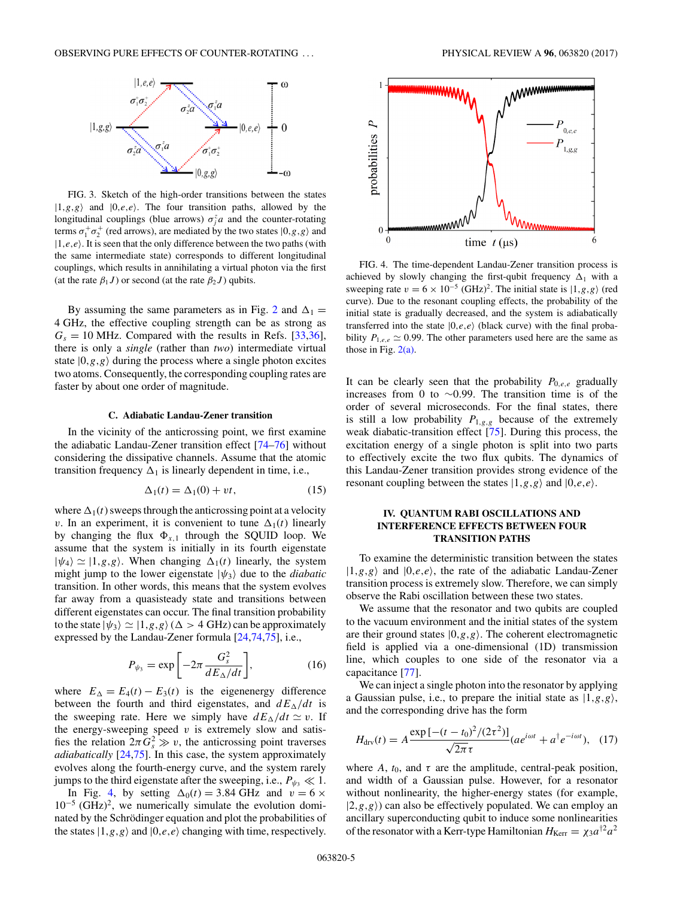<span id="page-4-0"></span>

FIG. 3. Sketch of the high-order transitions between the states  $|1, g, g\rangle$  and  $|0, e, e\rangle$ . The four transition paths, allowed by the longitudinal couplings (blue arrows)  $\sigma_j^z a$  and the counter-rotating terms  $\sigma_1^+ \sigma_2^+$  (red arrows), are mediated by the two states  $|0,g,g\rangle$  and  $|1,e,e\rangle$ . It is seen that the only difference between the two paths (with the same intermediate state) corresponds to different longitudinal couplings, which results in annihilating a virtual photon via the first (at the rate  $\beta_1 J$ ) or second (at the rate  $\beta_2 J$ ) qubits.

By assuming the same parameters as in Fig. [2](#page-3-0) and  $\Delta_1 =$ 4 GHz, the effective coupling strength can be as strong as  $G_s = 10$  MHz. Compared with the results in Refs. [\[33,36\]](#page-8-0), there is only a *single* (rather than *two*) intermediate virtual state  $|0, g, g \rangle$  during the process where a single photon excites two atoms. Consequently, the corresponding coupling rates are faster by about one order of magnitude.

### **C. Adiabatic Landau-Zener transition**

In the vicinity of the anticrossing point, we first examine the adiabatic Landau-Zener transition effect [\[74–76\]](#page-9-0) without considering the dissipative channels. Assume that the atomic transition frequency  $\Delta_1$  is linearly dependent in time, i.e.,

$$
\Delta_1(t) = \Delta_1(0) + vt,\tag{15}
$$

where  $\Delta_1(t)$  sweeps through the anticrossing point at a velocity *v*. In an experiment, it is convenient to tune  $\Delta_1(t)$  linearly by changing the flux  $\Phi_{x,1}$  through the SQUID loop. We assume that the system is initially in its fourth eigenstate  $|\psi_4\rangle \simeq |1, g, g\rangle$ . When changing  $\Delta_1(t)$  linearly, the system might jump to the lower eigenstate  $|\psi_3\rangle$  due to the *diabatic* transition. In other words, this means that the system evolves far away from a quasisteady state and transitions between different eigenstates can occur. The final transition probability to the state  $|\psi_3\rangle \simeq |1,g,g\rangle (\Delta > 4 \text{ GHz})$  can be approximately expressed by the Landau-Zener formula [\[24,](#page-8-0)[74,75\]](#page-9-0), i.e.,

$$
P_{\psi_3} = \exp\left[-2\pi \frac{G_s^2}{dE_\Delta/dt}\right],\tag{16}
$$

where  $E_{\Delta} = E_4(t) - E_3(t)$  is the eigenenergy difference between the fourth and third eigenstates, and  $dE_{\Delta}/dt$  is the sweeping rate. Here we simply have  $dE_{\Delta}/dt \simeq v$ . If the energy-sweeping speed  $v$  is extremely slow and satisfies the relation  $2\pi G_s^2 \gg v$ , the anticrossing point traverses *adiabatically* [\[24,](#page-8-0)[75\]](#page-9-0). In this case, the system approximately evolves along the fourth-energy curve, and the system rarely jumps to the third eigenstate after the sweeping, i.e.,  $P_{\psi_3} \ll 1$ .

In Fig. 4, by setting  $\Delta_0(t) = 3.84 \text{ GHz}$  and  $v = 6 \times$  $10^{-5}$  (GHz)<sup>2</sup>, we numerically simulate the evolution dominated by the Schrödinger equation and plot the probabilities of the states  $|1, g, g \rangle$  and  $|0, e, e \rangle$  changing with time, respectively.



FIG. 4. The time-dependent Landau-Zener transition process is achieved by slowly changing the first-qubit frequency  $\Delta_1$  with a sweeping rate  $v = 6 \times 10^{-5}$  (GHz)<sup>2</sup>. The initial state is  $|1, g, g\rangle$  (red curve). Due to the resonant coupling effects, the probability of the initial state is gradually decreased, and the system is adiabatically transferred into the state  $|0,e,e\rangle$  (black curve) with the final probability  $P_{1,e,e} \simeq 0.99$ . The other parameters used here are the same as those in Fig. [2\(a\).](#page-3-0)

It can be clearly seen that the probability  $P_{0,e,e}$  gradually increases from 0 to ∼0*.*99. The transition time is of the order of several microseconds. For the final states, there is still a low probability  $P_{1,g,g}$  because of the extremely weak diabatic-transition effect [\[75\]](#page-9-0). During this process, the excitation energy of a single photon is split into two parts to effectively excite the two flux qubits. The dynamics of this Landau-Zener transition provides strong evidence of the resonant coupling between the states  $|1,g,g\rangle$  and  $|0,e,e\rangle$ .

# **IV. QUANTUM RABI OSCILLATIONS AND INTERFERENCE EFFECTS BETWEEN FOUR TRANSITION PATHS**

To examine the deterministic transition between the states  $|1,g,g\rangle$  and  $|0,e,e\rangle$ , the rate of the adiabatic Landau-Zener transition process is extremely slow. Therefore, we can simply observe the Rabi oscillation between these two states.

We assume that the resonator and two qubits are coupled to the vacuum environment and the initial states of the system are their ground states  $|0, g, g\rangle$ . The coherent electromagnetic field is applied via a one-dimensional (1D) transmission line, which couples to one side of the resonator via a capacitance [\[77\]](#page-9-0).

We can inject a single photon into the resonator by applying a Gaussian pulse, i.e., to prepare the initial state as  $|1, g, g\rangle$ , and the corresponding drive has the form

$$
H_{\text{div}}(t) = A \frac{\exp\left[-(t - t_0)^2 / (2\tau^2)\right]}{\sqrt{2\pi}\tau} (a e^{i\omega t} + a^{\dagger} e^{-i\omega t}), \quad (17)
$$

where  $A$ ,  $t_0$ , and  $\tau$  are the amplitude, central-peak position, and width of a Gaussian pulse. However, for a resonator without nonlinearity, the higher-energy states (for example,  $|2, g, g\rangle$ ) can also be effectively populated. We can employ an ancillary superconducting qubit to induce some nonlinearities of the resonator with a Kerr-type Hamiltonian  $H_{\text{Kerr}} = \chi_3 a^{\dagger 2} a^2$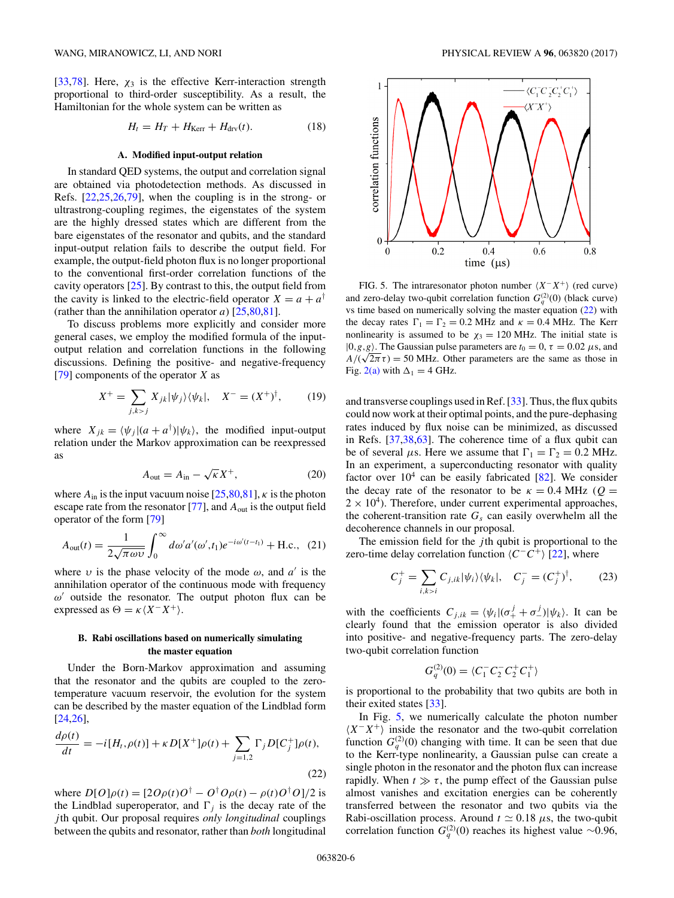<span id="page-5-0"></span>[\[33,](#page-8-0)[78\]](#page-9-0). Here,  $\chi_3$  is the effective Kerr-interaction strength proportional to third-order susceptibility. As a result, the Hamiltonian for the whole system can be written as

$$
H_t = H_T + H_{\text{Kerr}} + H_{\text{drv}}(t). \tag{18}
$$

#### **A. Modified input-output relation**

In standard QED systems, the output and correlation signal are obtained via photodetection methods. As discussed in Refs. [\[22](#page-7-0)[,25,26](#page-8-0)[,79\]](#page-9-0), when the coupling is in the strong- or ultrastrong-coupling regimes, the eigenstates of the system are the highly dressed states which are different from the bare eigenstates of the resonator and qubits, and the standard input-output relation fails to describe the output field. For example, the output-field photon flux is no longer proportional to the conventional first-order correlation functions of the cavity operators [\[25\]](#page-8-0). By contrast to this, the output field from the cavity is linked to the electric-field operator  $X = a + a^{\dagger}$ (rather than the annihilation operator  $a$ ) [ $25,80,81$ ].

To discuss problems more explicitly and consider more general cases, we employ the modified formula of the inputoutput relation and correlation functions in the following discussions. Defining the positive- and negative-frequency [\[79\]](#page-9-0) components of the operator *X* as

$$
X^{+} = \sum_{j,k>j} X_{jk} |\psi_j\rangle\langle\psi_k|, \quad X^{-} = (X^{+})^{\dagger}, \quad (19)
$$

where  $X_{jk} = \langle \psi_j | (a + a^{\dagger}) | \psi_k \rangle$ , the modified input-output relation under the Markov approximation can be reexpressed as

$$
A_{\text{out}} = A_{\text{in}} - \sqrt{\kappa} X^{+}, \qquad (20)
$$

where  $A_{\text{in}}$  is the input vacuum noise  $[25,80,81]$  $[25,80,81]$ ,  $\kappa$  is the photon escape rate from the resonator [\[77\]](#page-9-0), and  $A_{out}$  is the output field operator of the form [\[79\]](#page-9-0)

$$
A_{\text{out}}(t) = \frac{1}{2\sqrt{\pi\omega v}} \int_0^\infty d\omega' a'(\omega', t_1) e^{-i\omega'(t - t_1)} + \text{H.c.}, \tag{21}
$$

where  $\nu$  is the phase velocity of the mode  $\omega$ , and  $a'$  is the annihilation operator of the continuous mode with frequency  $ω'$  outside the resonator. The output photon flux can be expressed as  $\Theta = \kappa \langle X - X^+ \rangle$ .

## **B. Rabi oscillations based on numerically simulating the master equation**

Under the Born-Markov approximation and assuming that the resonator and the qubits are coupled to the zerotemperature vacuum reservoir, the evolution for the system can be described by the master equation of the Lindblad form [\[24,26\]](#page-8-0),

$$
\frac{d\rho(t)}{dt} = -i[H_t, \rho(t)] + \kappa D[X^+] \rho(t) + \sum_{j=1,2} \Gamma_j D[C_j^+] \rho(t),
$$
\n(22)

where  $D[O]\rho(t) = [2O\rho(t)O^{\dagger} - O^{\dagger}O\rho(t) - \rho(t)O^{\dagger}O]/2$  is the Lindblad superoperator, and  $\Gamma_i$  is the decay rate of the *j* th qubit. Our proposal requires *only longitudinal* couplings between the qubits and resonator, rather than *both* longitudinal



FIG. 5. The intraresonator photon number *X*<sup>−</sup>*X*+ (red curve) and zero-delay two-qubit correlation function  $G_q^{(2)}(0)$  (black curve) vs time based on numerically solving the master equation (22) with the decay rates  $\Gamma_1 = \Gamma_2 = 0.2$  MHz and  $\kappa = 0.4$  MHz. The Kerr nonlinearity is assumed to be  $\chi_3 = 120$  MHz. The initial state is  $|0, g, g\rangle$ . The Gaussian pulse parameters are  $t_0 = 0$ ,  $\tau = 0.02 \mu s$ , and  $A/(\sqrt{2\pi}\tau) = 50$  MHz. Other parameters are t<sub>0</sub> = 0,  $\tau$  = 0.02  $\mu$ s, and  $A/(\sqrt{2\pi}\tau) = 50$  MHz. Other parameters are the same as those in Fig. [2\(a\)](#page-3-0) with  $\Delta_1 = 4$  GHz.

and transverse couplings used in Ref. [\[33\]](#page-8-0). Thus, the flux qubits could now work at their optimal points, and the pure-dephasing rates induced by flux noise can be minimized, as discussed in Refs. [\[37,38](#page-8-0)[,63\]](#page-9-0). The coherence time of a flux qubit can be of several  $\mu$ s. Here we assume that  $\Gamma_1 = \Gamma_2 = 0.2$  MHz. In an experiment, a superconducting resonator with quality factor over  $10^4$  can be easily fabricated [\[82\]](#page-9-0). We consider the decay rate of the resonator to be  $\kappa = 0.4 \text{ MHz}$  ( $Q =$  $2 \times 10^4$ ). Therefore, under current experimental approaches, the coherent-transition rate  $G<sub>s</sub>$  can easily overwhelm all the decoherence channels in our proposal.

The emission field for the *j* th qubit is proportional to the zero-time delay correlation function *C*−*C*+ [\[22\]](#page-7-0), where

$$
C_j^+ = \sum_{i,k>i} C_{j,ik} |\psi_i\rangle \langle \psi_k|, \quad C_j^- = (C_j^+)^{\dagger}, \tag{23}
$$

with the coefficients  $C_{j,ik} = \langle \psi_i | (\sigma_+^j + \sigma_-^j) | \psi_k \rangle$ . It can be clearly found that the emission operator is also divided into positive- and negative-frequency parts. The zero-delay two-qubit correlation function

$$
G_q^{(2)}(0) = \langle C_1^- C_2^- C_2^+ C_1^+ \rangle
$$

is proportional to the probability that two qubits are both in their exited states [\[33\]](#page-8-0).

In Fig. 5, we numerically calculate the photon number  $\langle X - X^+ \rangle$  inside the resonator and the two-qubit correlation function  $G_q^{(2)}(0)$  changing with time. It can be seen that due to the Kerr-type nonlinearity, a Gaussian pulse can create a single photon in the resonator and the photon flux can increase rapidly. When  $t \gg \tau$ , the pump effect of the Gaussian pulse almost vanishes and excitation energies can be coherently transferred between the resonator and two qubits via the Rabi-oscillation process. Around  $t \approx 0.18 \mu s$ , the two-qubit correlation function  $G_q^{(2)}(0)$  reaches its highest value ~0.96,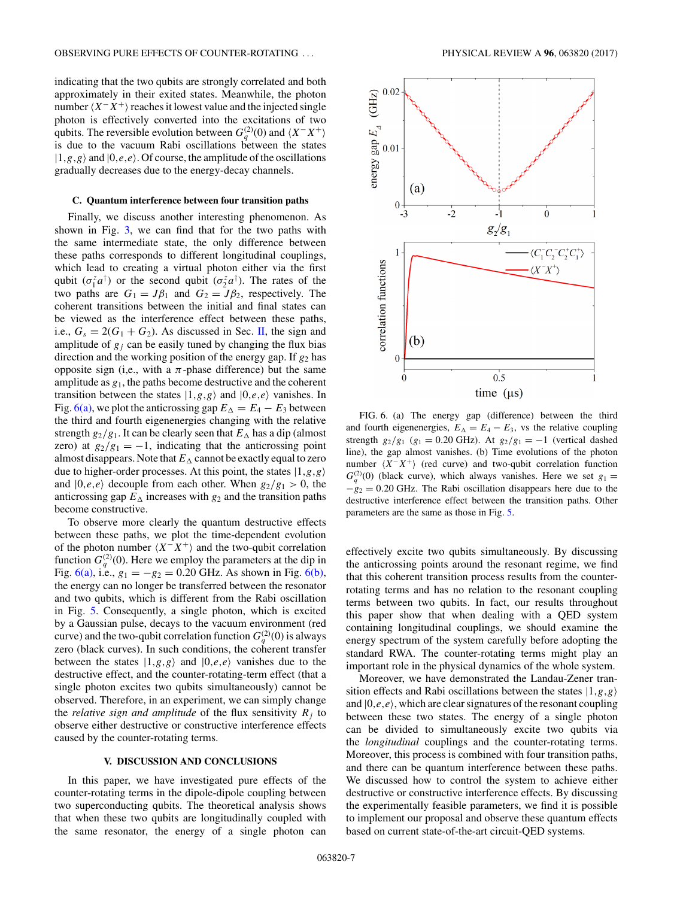indicating that the two qubits are strongly correlated and both approximately in their exited states. Meanwhile, the photon number  $\langle X^-X^+\rangle$  reaches it lowest value and the injected single photon is effectively converted into the excitations of two qubits. The reversible evolution between  $G_q^{(2)}(0)$  and  $\langle X^-X^+ \rangle$ is due to the vacuum Rabi oscillations between the states  $|1,g,g\rangle$  and  $|0,e,e\rangle$ . Of course, the amplitude of the oscillations gradually decreases due to the energy-decay channels.

### **C. Quantum interference between four transition paths**

Finally, we discuss another interesting phenomenon. As shown in Fig. [3,](#page-4-0) we can find that for the two paths with the same intermediate state, the only difference between these paths corresponds to different longitudinal couplings, which lead to creating a virtual photon either via the first qubit  $(\sigma_1^z a^{\dagger})$  or the second qubit  $(\sigma_2^z a^{\dagger})$ . The rates of the two paths are  $G_1 = J\beta_1$  and  $G_2 = J\beta_2$ , respectively. The coherent transitions between the initial and final states can be viewed as the interference effect between these paths, i.e.,  $G_s = 2(G_1 + G_2)$ . As discussed in Sec. [II,](#page-1-0) the sign and amplitude of  $g_j$  can be easily tuned by changing the flux bias direction and the working position of the energy gap. If *g*<sup>2</sup> has opposite sign (i,e., with a  $\pi$ -phase difference) but the same amplitude as *g*1, the paths become destructive and the coherent transition between the states  $|1, g, g \rangle$  and  $|0, e, e \rangle$  vanishes. In Fig. 6(a), we plot the anticrossing gap  $E_{\Delta} = E_4 - E_3$  between the third and fourth eigenenergies changing with the relative strength  $g_2/g_1$ . It can be clearly seen that  $E_\Delta$  has a dip (almost zero) at  $g_2/g_1 = -1$ , indicating that the anticrossing point almost disappears. Note that  $E_{\Delta}$  cannot be exactly equal to zero due to higher-order processes. At this point, the states |1*,g,g* and  $|0,e,e\rangle$  decouple from each other. When  $g_2/g_1 > 0$ , the anticrossing gap  $E_{\Delta}$  increases with  $g_2$  and the transition paths become constructive.

To observe more clearly the quantum destructive effects between these paths, we plot the time-dependent evolution of the photon number  $\langle X - X^+ \rangle$  and the two-qubit correlation function  $G_q^{(2)}(0)$ . Here we employ the parameters at the dip in Fig.  $6(a)$ , i.e.,  $g_1 = -g_2 = 0.20$  GHz. As shown in Fig.  $6(b)$ , the energy can no longer be transferred between the resonator and two qubits, which is different from the Rabi oscillation in Fig. [5.](#page-5-0) Consequently, a single photon, which is excited by a Gaussian pulse, decays to the vacuum environment (red curve) and the two-qubit correlation function  $G_q^{(2)}(0)$  is always zero (black curves). In such conditions, the coherent transfer between the states  $|1, g, g \rangle$  and  $|0, e, e \rangle$  vanishes due to the destructive effect, and the counter-rotating-term effect (that a single photon excites two qubits simultaneously) cannot be observed. Therefore, in an experiment, we can simply change the *relative sign and amplitude* of the flux sensitivity  $R_i$  to observe either destructive or constructive interference effects caused by the counter-rotating terms.

### **V. DISCUSSION AND CONCLUSIONS**

In this paper, we have investigated pure effects of the counter-rotating terms in the dipole-dipole coupling between two superconducting qubits. The theoretical analysis shows that when these two qubits are longitudinally coupled with the same resonator, the energy of a single photon can



FIG. 6. (a) The energy gap (difference) between the third and fourth eigenenergies,  $E_{\Delta} = E_4 - E_3$ , vs the relative coupling strength  $g_2/g_1$  ( $g_1 = 0.20$  GHz). At  $g_2/g_1 = -1$  (vertical dashed line), the gap almost vanishes. (b) Time evolutions of the photon number  $\langle X - X^+ \rangle$  (red curve) and two-qubit correlation function  $G_q^{(2)}(0)$  (black curve), which always vanishes. Here we set  $g_1 =$ −*g*<sup>2</sup> = 0*.*20 GHz*.* The Rabi oscillation disappears here due to the destructive interference effect between the transition paths. Other parameters are the same as those in Fig. [5.](#page-5-0)

effectively excite two qubits simultaneously. By discussing the anticrossing points around the resonant regime, we find that this coherent transition process results from the counterrotating terms and has no relation to the resonant coupling terms between two qubits. In fact, our results throughout this paper show that when dealing with a QED system containing longitudinal couplings, we should examine the energy spectrum of the system carefully before adopting the standard RWA. The counter-rotating terms might play an important role in the physical dynamics of the whole system.

Moreover, we have demonstrated the Landau-Zener transition effects and Rabi oscillations between the states |1*,g,g* and  $|0,e,e\rangle$ , which are clear signatures of the resonant coupling between these two states. The energy of a single photon can be divided to simultaneously excite two qubits via the *longitudinal* couplings and the counter-rotating terms. Moreover, this process is combined with four transition paths, and there can be quantum interference between these paths. We discussed how to control the system to achieve either destructive or constructive interference effects. By discussing the experimentally feasible parameters, we find it is possible to implement our proposal and observe these quantum effects based on current state-of-the-art circuit-QED systems.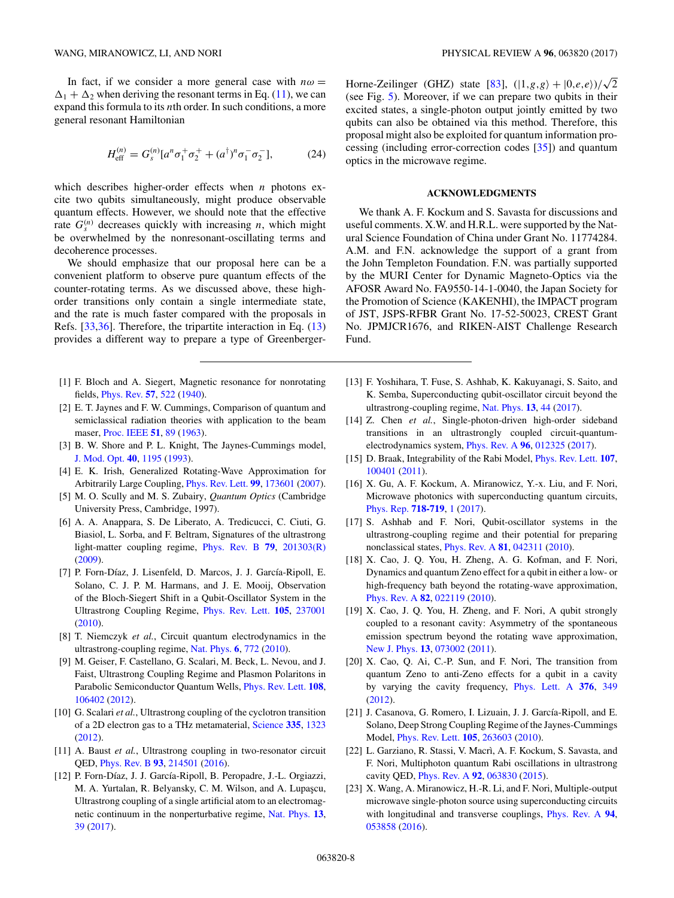<span id="page-7-0"></span>In fact, if we consider a more general case with  $n\omega =$  $\Delta_1 + \Delta_2$  when deriving the resonant terms in Eq. [\(11\)](#page-3-0), we can expand this formula to its *n*th order. In such conditions, a more general resonant Hamiltonian

$$
H_{\text{eff}}^{(n)} = G_s^{(n)} [a^n \sigma_1^+ \sigma_2^+ + (a^\dagger)^n \sigma_1^- \sigma_2^-], \tag{24}
$$

which describes higher-order effects when *n* photons excite two qubits simultaneously, might produce observable quantum effects. However, we should note that the effective rate  $G_s^{(n)}$  decreases quickly with increasing *n*, which might be overwhelmed by the nonresonant-oscillating terms and decoherence processes.

We should emphasize that our proposal here can be a convenient platform to observe pure quantum effects of the counter-rotating terms. As we discussed above, these highorder transitions only contain a single intermediate state, and the rate is much faster compared with the proposals in Refs. [\[33,36\]](#page-8-0). Therefore, the tripartite interaction in Eq. [\(13\)](#page-3-0) provides a different way to prepare a type of Greenberger-

- [1] F. Bloch and A. Siegert, Magnetic resonance for nonrotating fields, [Phys. Rev.](https://doi.org/10.1103/PhysRev.57.522) **[57](https://doi.org/10.1103/PhysRev.57.522)**, [522](https://doi.org/10.1103/PhysRev.57.522) [\(1940\)](https://doi.org/10.1103/PhysRev.57.522).
- [2] E. T. Jaynes and F. W. Cummings, Comparison of quantum and semiclassical radiation theories with application to the beam maser, [Proc. IEEE](https://doi.org/10.1109/PROC.1963.1664) **[51](https://doi.org/10.1109/PROC.1963.1664)**, [89](https://doi.org/10.1109/PROC.1963.1664) [\(1963\)](https://doi.org/10.1109/PROC.1963.1664).
- [3] B. W. Shore and P. L. Knight, The Jaynes-Cummings model, [J. Mod. Opt.](https://doi.org/10.1080/09500349314551321) **[40](https://doi.org/10.1080/09500349314551321)**, [1195](https://doi.org/10.1080/09500349314551321) [\(1993\)](https://doi.org/10.1080/09500349314551321).
- [4] E. K. Irish, Generalized Rotating-Wave Approximation for Arbitrarily Large Coupling, [Phys. Rev. Lett.](https://doi.org/10.1103/PhysRevLett.99.173601) **[99](https://doi.org/10.1103/PhysRevLett.99.173601)**, [173601](https://doi.org/10.1103/PhysRevLett.99.173601) [\(2007\)](https://doi.org/10.1103/PhysRevLett.99.173601).
- [5] M. O. Scully and M. S. Zubairy, *Quantum Optics* (Cambridge University Press, Cambridge, 1997).
- [6] A. A. Anappara, S. De Liberato, A. Tredicucci, C. Ciuti, G. Biasiol, L. Sorba, and F. Beltram, Signatures of the ultrastrong light-matter coupling regime, [Phys. Rev. B](https://doi.org/10.1103/PhysRevB.79.201303) **[79](https://doi.org/10.1103/PhysRevB.79.201303)**, [201303\(R\)](https://doi.org/10.1103/PhysRevB.79.201303) [\(2009\)](https://doi.org/10.1103/PhysRevB.79.201303).
- [7] P. Forn-Díaz, J. Lisenfeld, D. Marcos, J. J. García-Ripoll, E. Solano, C. J. P. M. Harmans, and J. E. Mooij, Observation of the Bloch-Siegert Shift in a Qubit-Oscillator System in the Ultrastrong Coupling Regime, [Phys. Rev. Lett.](https://doi.org/10.1103/PhysRevLett.105.237001) **[105](https://doi.org/10.1103/PhysRevLett.105.237001)**, [237001](https://doi.org/10.1103/PhysRevLett.105.237001) [\(2010\)](https://doi.org/10.1103/PhysRevLett.105.237001).
- [8] T. Niemczyk *et al.*, Circuit quantum electrodynamics in the ultrastrong-coupling regime, [Nat. Phys.](https://doi.org/10.1038/nphys1730) **[6](https://doi.org/10.1038/nphys1730)**, [772](https://doi.org/10.1038/nphys1730) [\(2010\)](https://doi.org/10.1038/nphys1730).
- [9] M. Geiser, F. Castellano, G. Scalari, M. Beck, L. Nevou, and J. Faist, Ultrastrong Coupling Regime and Plasmon Polaritons in Parabolic Semiconductor Quantum Wells, [Phys. Rev. Lett.](https://doi.org/10.1103/PhysRevLett.108.106402) **[108](https://doi.org/10.1103/PhysRevLett.108.106402)**, [106402](https://doi.org/10.1103/PhysRevLett.108.106402) [\(2012\)](https://doi.org/10.1103/PhysRevLett.108.106402).
- [10] G. Scalari *et al.*, Ultrastrong coupling of the cyclotron transition of a 2D electron gas to a THz metamaterial, [Science](https://doi.org/10.1126/science.1216022) **[335](https://doi.org/10.1126/science.1216022)**, [1323](https://doi.org/10.1126/science.1216022) [\(2012\)](https://doi.org/10.1126/science.1216022).
- [11] A. Baust *et al.*, Ultrastrong coupling in two-resonator circuit QED, [Phys. Rev. B](https://doi.org/10.1103/PhysRevB.93.214501) **[93](https://doi.org/10.1103/PhysRevB.93.214501)**, [214501](https://doi.org/10.1103/PhysRevB.93.214501) [\(2016\)](https://doi.org/10.1103/PhysRevB.93.214501).
- [12] P. Forn-Díaz, J. J. García-Ripoll, B. Peropadre, J.-L. Orgiazzi, M. A. Yurtalan, R. Belyansky, C. M. Wilson, and A. Lupaşcu, Ultrastrong coupling of a single artificial atom to an electromagnetic continuum in the nonperturbative regime, [Nat. Phys.](https://doi.org/10.1038/nphys3905) **[13](https://doi.org/10.1038/nphys3905)**, [39](https://doi.org/10.1038/nphys3905) [\(2017\)](https://doi.org/10.1038/nphys3905).

Horne-Zeilinger (GHZ) state [\[83\]](#page-9-0),  $(|1, g, g\rangle + |0, e, e\rangle)/\sqrt{2}$ (see Fig. [5\)](#page-5-0). Moreover, if we can prepare two qubits in their excited states, a single-photon output jointly emitted by two qubits can also be obtained via this method. Therefore, this proposal might also be exploited for quantum information processing (including error-correction codes [\[35\]](#page-8-0)) and quantum optics in the microwave regime.

# **ACKNOWLEDGMENTS**

We thank A. F. Kockum and S. Savasta for discussions and useful comments. X.W. and H.R.L. were supported by the Natural Science Foundation of China under Grant No. 11774284. A.M. and F.N. acknowledge the support of a grant from the John Templeton Foundation. F.N. was partially supported by the MURI Center for Dynamic Magneto-Optics via the AFOSR Award No. FA9550-14-1-0040, the Japan Society for the Promotion of Science (KAKENHI), the IMPACT program of JST, JSPS-RFBR Grant No. 17-52-50023, CREST Grant No. JPMJCR1676, and RIKEN-AIST Challenge Research Fund.

- [13] F. Yoshihara, T. Fuse, S. Ashhab, K. Kakuyanagi, S. Saito, and K. Semba, Superconducting qubit-oscillator circuit beyond the ultrastrong-coupling regime, [Nat. Phys.](https://doi.org/10.1038/nphys3906) **[13](https://doi.org/10.1038/nphys3906)**, [44](https://doi.org/10.1038/nphys3906) [\(2017\)](https://doi.org/10.1038/nphys3906).
- [14] Z. Chen *et al.*, Single-photon-driven high-order sideband transitions in an ultrastrongly coupled circuit-quantumelectrodynamics system, [Phys. Rev. A](https://doi.org/10.1103/PhysRevA.96.012325) **[96](https://doi.org/10.1103/PhysRevA.96.012325)**, [012325](https://doi.org/10.1103/PhysRevA.96.012325) [\(2017\)](https://doi.org/10.1103/PhysRevA.96.012325).
- [15] D. Braak, Integrability of the Rabi Model, [Phys. Rev. Lett.](https://doi.org/10.1103/PhysRevLett.107.100401) **[107](https://doi.org/10.1103/PhysRevLett.107.100401)**, [100401](https://doi.org/10.1103/PhysRevLett.107.100401) [\(2011\)](https://doi.org/10.1103/PhysRevLett.107.100401).
- [16] X. Gu, A. F. Kockum, A. Miranowicz, Y.-x. Liu, and F. Nori, Microwave photonics with superconducting quantum circuits, [Phys. Rep.](https://doi.org/10.1016/j.physrep.2017.10.002) **[718-719](https://doi.org/10.1016/j.physrep.2017.10.002)**, [1](https://doi.org/10.1016/j.physrep.2017.10.002) [\(2017\)](https://doi.org/10.1016/j.physrep.2017.10.002).
- [17] S. Ashhab and F. Nori, Qubit-oscillator systems in the ultrastrong-coupling regime and their potential for preparing nonclassical states, [Phys. Rev. A](https://doi.org/10.1103/PhysRevA.81.042311) **[81](https://doi.org/10.1103/PhysRevA.81.042311)**, [042311](https://doi.org/10.1103/PhysRevA.81.042311) [\(2010\)](https://doi.org/10.1103/PhysRevA.81.042311).
- [18] X. Cao, J. Q. You, H. Zheng, A. G. Kofman, and F. Nori, Dynamics and quantum Zeno effect for a qubit in either a low- or high-frequency bath beyond the rotating-wave approximation, [Phys. Rev. A](https://doi.org/10.1103/PhysRevA.82.022119) **[82](https://doi.org/10.1103/PhysRevA.82.022119)**, [022119](https://doi.org/10.1103/PhysRevA.82.022119) [\(2010\)](https://doi.org/10.1103/PhysRevA.82.022119).
- [19] X. Cao, J. O. You, H. Zheng, and F. Nori, A qubit strongly coupled to a resonant cavity: Asymmetry of the spontaneous emission spectrum beyond the rotating wave approximation, [New J. Phys.](https://doi.org/10.1088/1367-2630/13/7/073002) **[13](https://doi.org/10.1088/1367-2630/13/7/073002)**, [073002](https://doi.org/10.1088/1367-2630/13/7/073002) [\(2011\)](https://doi.org/10.1088/1367-2630/13/7/073002).
- [20] X. Cao, Q. Ai, C.-P. Sun, and F. Nori, The transition from quantum Zeno to anti-Zeno effects for a qubit in a cavity by varying the cavity frequency, [Phys. Lett. A](https://doi.org/10.1016/j.physleta.2011.11.045) **[376](https://doi.org/10.1016/j.physleta.2011.11.045)**, [349](https://doi.org/10.1016/j.physleta.2011.11.045) [\(2012\)](https://doi.org/10.1016/j.physleta.2011.11.045).
- [21] J. Casanova, G. Romero, I. Lizuain, J. J. García-Ripoll, and E. Solano, Deep Strong Coupling Regime of the Jaynes-Cummings Model, [Phys. Rev. Lett.](https://doi.org/10.1103/PhysRevLett.105.263603) **[105](https://doi.org/10.1103/PhysRevLett.105.263603)**, [263603](https://doi.org/10.1103/PhysRevLett.105.263603) [\(2010\)](https://doi.org/10.1103/PhysRevLett.105.263603).
- [22] L. Garziano, R. Stassi, V. Macrì, A. F. Kockum, S. Savasta, and F. Nori, Multiphoton quantum Rabi oscillations in ultrastrong cavity QED, [Phys. Rev. A](https://doi.org/10.1103/PhysRevA.92.063830) **[92](https://doi.org/10.1103/PhysRevA.92.063830)**, [063830](https://doi.org/10.1103/PhysRevA.92.063830) [\(2015\)](https://doi.org/10.1103/PhysRevA.92.063830).
- [23] X. Wang, A. Miranowicz, H.-R. Li, and F. Nori, Multiple-output microwave single-photon source using superconducting circuits with longitudinal and transverse couplings, [Phys. Rev. A](https://doi.org/10.1103/PhysRevA.94.053858) **[94](https://doi.org/10.1103/PhysRevA.94.053858)**, [053858](https://doi.org/10.1103/PhysRevA.94.053858) [\(2016\)](https://doi.org/10.1103/PhysRevA.94.053858).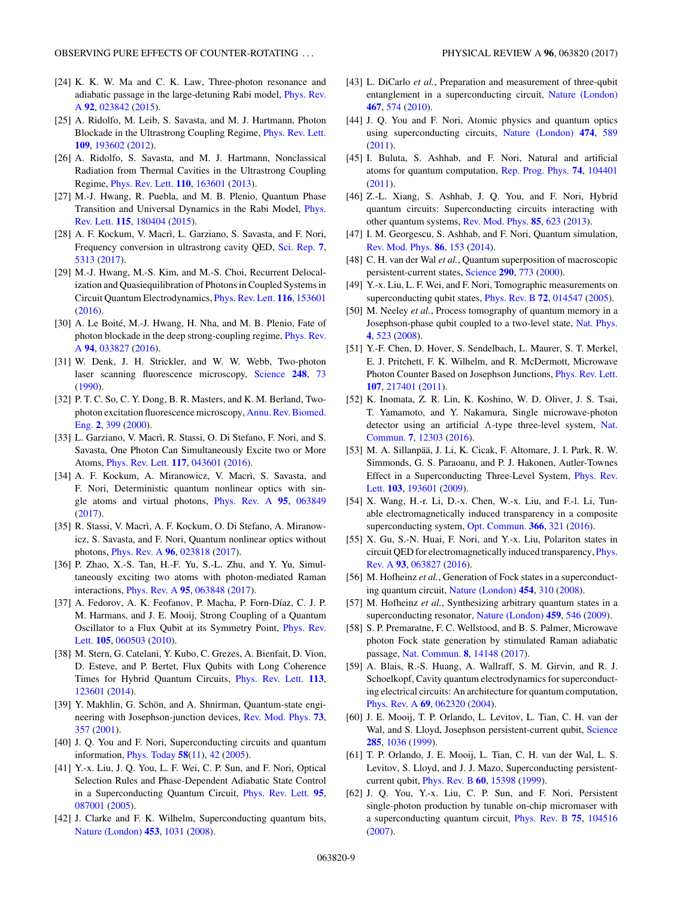- <span id="page-8-0"></span>[24] K. K. W. Ma and C. K. Law, Three-photon resonance and [adiabatic passage in the large-detuning Rabi model,](https://doi.org/10.1103/PhysRevA.92.023842) Phys. Rev. A **[92](https://doi.org/10.1103/PhysRevA.92.023842)**, [023842](https://doi.org/10.1103/PhysRevA.92.023842) [\(2015\)](https://doi.org/10.1103/PhysRevA.92.023842).
- [25] A. Ridolfo, M. Leib, S. Savasta, and M. J. Hartmann, Photon Blockade in the Ultrastrong Coupling Regime, [Phys. Rev. Lett.](https://doi.org/10.1103/PhysRevLett.109.193602) **[109](https://doi.org/10.1103/PhysRevLett.109.193602)**, [193602](https://doi.org/10.1103/PhysRevLett.109.193602) [\(2012\)](https://doi.org/10.1103/PhysRevLett.109.193602).
- [26] A. Ridolfo, S. Savasta, and M. J. Hartmann, Nonclassical Radiation from Thermal Cavities in the Ultrastrong Coupling Regime, [Phys. Rev. Lett.](https://doi.org/10.1103/PhysRevLett.110.163601) **[110](https://doi.org/10.1103/PhysRevLett.110.163601)**, [163601](https://doi.org/10.1103/PhysRevLett.110.163601) [\(2013\)](https://doi.org/10.1103/PhysRevLett.110.163601).
- [27] M.-J. Hwang, R. Puebla, and M. B. Plenio, Quantum Phase [Transition and Universal Dynamics in the Rabi Model,](https://doi.org/10.1103/PhysRevLett.115.180404) Phys. Rev. Lett. **[115](https://doi.org/10.1103/PhysRevLett.115.180404)**, [180404](https://doi.org/10.1103/PhysRevLett.115.180404) [\(2015\)](https://doi.org/10.1103/PhysRevLett.115.180404).
- [28] A. F. Kockum, V. Macrì, L. Garziano, S. Savasta, and F. Nori, Frequency conversion in ultrastrong cavity QED, [Sci. Rep.](https://doi.org/10.1038/s41598-017-04225-3) **[7](https://doi.org/10.1038/s41598-017-04225-3)**, [5313](https://doi.org/10.1038/s41598-017-04225-3) [\(2017\)](https://doi.org/10.1038/s41598-017-04225-3).
- [29] M.-J. Hwang, M.-S. Kim, and M.-S. Choi, Recurrent Delocalization and Quasiequilibration of Photons in Coupled Systems in Circuit Quantum Electrodynamics, [Phys. Rev. Lett.](https://doi.org/10.1103/PhysRevLett.116.153601) **[116](https://doi.org/10.1103/PhysRevLett.116.153601)**, [153601](https://doi.org/10.1103/PhysRevLett.116.153601) [\(2016\)](https://doi.org/10.1103/PhysRevLett.116.153601).
- [30] A. Le Boité, M.-J. Hwang, H. Nha, and M. B. Plenio, Fate of [photon blockade in the deep strong-coupling regime,](https://doi.org/10.1103/PhysRevA.94.033827) Phys. Rev. A **[94](https://doi.org/10.1103/PhysRevA.94.033827)**, [033827](https://doi.org/10.1103/PhysRevA.94.033827) [\(2016\)](https://doi.org/10.1103/PhysRevA.94.033827).
- [31] W. Denk, J. H. Strickler, and W. W. Webb, Two-photon laser scanning fluorescence microscopy, [Science](https://doi.org/10.1126/science.2321027) **[248](https://doi.org/10.1126/science.2321027)**, [73](https://doi.org/10.1126/science.2321027) [\(1990\)](https://doi.org/10.1126/science.2321027).
- [32] P. T. C. So, C. Y. Dong, B. R. Masters, and K. M. Berland, Two[photon excitation fluorescence microscopy,](https://doi.org/10.1146/annurev.bioeng.2.1.399) Annu. Rev. Biomed. Eng. **[2](https://doi.org/10.1146/annurev.bioeng.2.1.399)**, [399](https://doi.org/10.1146/annurev.bioeng.2.1.399) [\(2000\)](https://doi.org/10.1146/annurev.bioeng.2.1.399).
- [33] L. Garziano, V. Macrì, R. Stassi, O. Di Stefano, F. Nori, and S. Savasta, One Photon Can Simultaneously Excite two or More Atoms, [Phys. Rev. Lett.](https://doi.org/10.1103/PhysRevLett.117.043601) **[117](https://doi.org/10.1103/PhysRevLett.117.043601)**, [043601](https://doi.org/10.1103/PhysRevLett.117.043601) [\(2016\)](https://doi.org/10.1103/PhysRevLett.117.043601).
- [34] A. F. Kockum, A. Miranowicz, V. Macrì, S. Savasta, and F. Nori, Deterministic quantum nonlinear optics with single atoms and virtual photons, [Phys. Rev. A](https://doi.org/10.1103/PhysRevA.95.063849) **[95](https://doi.org/10.1103/PhysRevA.95.063849)**, [063849](https://doi.org/10.1103/PhysRevA.95.063849) [\(2017\)](https://doi.org/10.1103/PhysRevA.95.063849).
- [35] R. Stassi, V. Macrì, A. F. Kockum, O. Di Stefano, A. Miranowicz, S. Savasta, and F. Nori, Quantum nonlinear optics without photons, [Phys. Rev. A](https://doi.org/10.1103/PhysRevA.96.023818) **[96](https://doi.org/10.1103/PhysRevA.96.023818)**, [023818](https://doi.org/10.1103/PhysRevA.96.023818) [\(2017\)](https://doi.org/10.1103/PhysRevA.96.023818).
- [36] P. Zhao, X.-S. Tan, H.-F. Yu, S.-L. Zhu, and Y. Yu, Simultaneously exciting two atoms with photon-mediated Raman interactions, [Phys. Rev. A](https://doi.org/10.1103/PhysRevA.95.063848) **[95](https://doi.org/10.1103/PhysRevA.95.063848)**, [063848](https://doi.org/10.1103/PhysRevA.95.063848) [\(2017\)](https://doi.org/10.1103/PhysRevA.95.063848).
- [37] A. Fedorov, A. K. Feofanov, P. Macha, P. Forn-Díaz, C. J. P. M. Harmans, and J. E. Mooij, Strong Coupling of a Quantum [Oscillator to a Flux Qubit at its Symmetry Point,](https://doi.org/10.1103/PhysRevLett.105.060503) Phys. Rev. Lett. **[105](https://doi.org/10.1103/PhysRevLett.105.060503)**, [060503](https://doi.org/10.1103/PhysRevLett.105.060503) [\(2010\)](https://doi.org/10.1103/PhysRevLett.105.060503).
- [38] M. Stern, G. Catelani, Y. Kubo, C. Grezes, A. Bienfait, D. Vion, D. Esteve, and P. Bertet, Flux Qubits with Long Coherence Times for Hybrid Quantum Circuits, [Phys. Rev. Lett.](https://doi.org/10.1103/PhysRevLett.113.123601) **[113](https://doi.org/10.1103/PhysRevLett.113.123601)**, [123601](https://doi.org/10.1103/PhysRevLett.113.123601) [\(2014\)](https://doi.org/10.1103/PhysRevLett.113.123601).
- [39] Y. Makhlin, G. Schön, and A. Shnirman, Quantum-state engineering with Josephson-junction devices, [Rev. Mod. Phys.](https://doi.org/10.1103/RevModPhys.73.357) **[73](https://doi.org/10.1103/RevModPhys.73.357)**, [357](https://doi.org/10.1103/RevModPhys.73.357) [\(2001\)](https://doi.org/10.1103/RevModPhys.73.357).
- [40] J. Q. You and F. Nori, Superconducting circuits and quantum information, [Phys. Today](https://doi.org/10.1063/1.2155757) **[58](https://doi.org/10.1063/1.2155757)**[\(11\)](https://doi.org/10.1063/1.2155757), [42](https://doi.org/10.1063/1.2155757) [\(2005\)](https://doi.org/10.1063/1.2155757).
- [41] Y.-x. Liu, J. Q. You, L. F. Wei, C. P. Sun, and F. Nori, Optical Selection Rules and Phase-Dependent Adiabatic State Control in a Superconducting Quantum Circuit, [Phys. Rev. Lett.](https://doi.org/10.1103/PhysRevLett.95.087001) **[95](https://doi.org/10.1103/PhysRevLett.95.087001)**, [087001](https://doi.org/10.1103/PhysRevLett.95.087001) [\(2005\)](https://doi.org/10.1103/PhysRevLett.95.087001).
- [42] J. Clarke and F. K. Wilhelm, Superconducting quantum bits, [Nature \(London\)](https://doi.org/10.1038/nature07128) **[453](https://doi.org/10.1038/nature07128)**, [1031](https://doi.org/10.1038/nature07128) [\(2008\)](https://doi.org/10.1038/nature07128).
- [43] L. DiCarlo *et al.*, Preparation and measurement of three-qubit entanglement in a superconducting circuit, [Nature \(London\)](https://doi.org/10.1038/nature09416) **[467](https://doi.org/10.1038/nature09416)**, [574](https://doi.org/10.1038/nature09416) [\(2010\)](https://doi.org/10.1038/nature09416).
- [44] J. Q. You and F. Nori, Atomic physics and quantum optics using superconducting circuits, [Nature \(London\)](https://doi.org/10.1038/nature10122) **[474](https://doi.org/10.1038/nature10122)**, [589](https://doi.org/10.1038/nature10122) [\(2011\)](https://doi.org/10.1038/nature10122).
- [45] I. Buluta, S. Ashhab, and F. Nori, Natural and artificial atoms for quantum computation, [Rep. Prog. Phys.](https://doi.org/10.1088/0034-4885/74/10/104401) **[74](https://doi.org/10.1088/0034-4885/74/10/104401)**, [104401](https://doi.org/10.1088/0034-4885/74/10/104401) [\(2011\)](https://doi.org/10.1088/0034-4885/74/10/104401).
- [46] Z.-L. Xiang, S. Ashhab, J. Q. You, and F. Nori, Hybrid quantum circuits: Superconducting circuits interacting with other quantum systems, [Rev. Mod. Phys.](https://doi.org/10.1103/RevModPhys.85.623) **[85](https://doi.org/10.1103/RevModPhys.85.623)**, [623](https://doi.org/10.1103/RevModPhys.85.623) [\(2013\)](https://doi.org/10.1103/RevModPhys.85.623).
- [47] I. M. Georgescu, S. Ashhab, and F. Nori, Quantum simulation, [Rev. Mod. Phys.](https://doi.org/10.1103/RevModPhys.86.153) **[86](https://doi.org/10.1103/RevModPhys.86.153)**, [153](https://doi.org/10.1103/RevModPhys.86.153) [\(2014\)](https://doi.org/10.1103/RevModPhys.86.153).
- [48] C. H. van der Wal *et al.*, Quantum superposition of macroscopic persistent-current states, [Science](https://doi.org/10.1126/science.290.5492.773) **[290](https://doi.org/10.1126/science.290.5492.773)**, [773](https://doi.org/10.1126/science.290.5492.773) [\(2000\)](https://doi.org/10.1126/science.290.5492.773).
- [49] Y.-x. Liu, L. F. Wei, and F. Nori, Tomographic measurements on superconducting qubit states, [Phys. Rev. B](https://doi.org/10.1103/PhysRevB.72.014547) **[72](https://doi.org/10.1103/PhysRevB.72.014547)**, [014547](https://doi.org/10.1103/PhysRevB.72.014547) [\(2005\)](https://doi.org/10.1103/PhysRevB.72.014547).
- [50] M. Neeley *et al.*, Process tomography of quantum memory in a Josephson-phase qubit coupled to a two-level state, [Nat. Phys.](https://doi.org/10.1038/nphys972) **[4](https://doi.org/10.1038/nphys972)**, [523](https://doi.org/10.1038/nphys972) [\(2008\)](https://doi.org/10.1038/nphys972).
- [51] Y.-F. Chen, D. Hover, S. Sendelbach, L. Maurer, S. T. Merkel, E. J. Pritchett, F. K. Wilhelm, and R. McDermott, Microwave Photon Counter Based on Josephson Junctions, [Phys. Rev. Lett.](https://doi.org/10.1103/PhysRevLett.107.217401) **[107](https://doi.org/10.1103/PhysRevLett.107.217401)**, [217401](https://doi.org/10.1103/PhysRevLett.107.217401) [\(2011\)](https://doi.org/10.1103/PhysRevLett.107.217401).
- [52] K. Inomata, Z. R. Lin, K. Koshino, W. D. Oliver, J. S. Tsai, T. Yamamoto, and Y. Nakamura, Single microwave-photon [detector using an artificial](https://doi.org/10.1038/ncomms12303)  $\Lambda$ -type three-level system, Nat. Commun. **[7](https://doi.org/10.1038/ncomms12303)**, [12303](https://doi.org/10.1038/ncomms12303) [\(2016\)](https://doi.org/10.1038/ncomms12303).
- [53] M. A. Sillanpää, J. Li, K. Cicak, F. Altomare, J. I. Park, R. W. Simmonds, G. S. Paraoanu, and P. J. Hakonen, Autler-Townes [Effect in a Superconducting Three-Level System,](https://doi.org/10.1103/PhysRevLett.103.193601) Phys. Rev. Lett. **[103](https://doi.org/10.1103/PhysRevLett.103.193601)**, [193601](https://doi.org/10.1103/PhysRevLett.103.193601) [\(2009\)](https://doi.org/10.1103/PhysRevLett.103.193601).
- [54] X. Wang, H.-r. Li, D.-x. Chen, W.-x. Liu, and F.-l. Li, Tunable electromagnetically induced transparency in a composite superconducting system, [Opt. Commun.](https://doi.org/10.1016/j.optcom.2016.01.024) **[366](https://doi.org/10.1016/j.optcom.2016.01.024)**, [321](https://doi.org/10.1016/j.optcom.2016.01.024) [\(2016\)](https://doi.org/10.1016/j.optcom.2016.01.024).
- [55] X. Gu, S.-N. Huai, F. Nori, and Y.-x. Liu, Polariton states in [circuit QED for electromagnetically induced transparency,](https://doi.org/10.1103/PhysRevA.93.063827) Phys. Rev. A **[93](https://doi.org/10.1103/PhysRevA.93.063827)**, [063827](https://doi.org/10.1103/PhysRevA.93.063827) [\(2016\)](https://doi.org/10.1103/PhysRevA.93.063827).
- [56] M. Hofheinz et al., Generation of Fock states in a superconducting quantum circuit, [Nature \(London\)](https://doi.org/10.1038/nature07136) **[454](https://doi.org/10.1038/nature07136)**, [310](https://doi.org/10.1038/nature07136) [\(2008\)](https://doi.org/10.1038/nature07136).
- [57] M. Hofheinz *et al.*, Synthesizing arbitrary quantum states in a superconducting resonator, [Nature \(London\)](https://doi.org/10.1038/nature08005) **[459](https://doi.org/10.1038/nature08005)**, [546](https://doi.org/10.1038/nature08005) [\(2009\)](https://doi.org/10.1038/nature08005).
- [58] S. P. Premaratne, F. C. Wellstood, and B. S. Palmer, Microwave photon Fock state generation by stimulated Raman adiabatic passage, [Nat. Commun.](https://doi.org/10.1038/ncomms14148) **[8](https://doi.org/10.1038/ncomms14148)**, [14148](https://doi.org/10.1038/ncomms14148) [\(2017\)](https://doi.org/10.1038/ncomms14148).
- [59] A. Blais, R.-S. Huang, A. Wallraff, S. M. Girvin, and R. J. Schoelkopf, Cavity quantum electrodynamics for superconducting electrical circuits: An architecture for quantum computation, [Phys. Rev. A](https://doi.org/10.1103/PhysRevA.69.062320) **[69](https://doi.org/10.1103/PhysRevA.69.062320)**, [062320](https://doi.org/10.1103/PhysRevA.69.062320) [\(2004\)](https://doi.org/10.1103/PhysRevA.69.062320).
- [60] J. E. Mooij, T. P. Orlando, L. Levitov, L. Tian, C. H. van der Wal, and S. Lloyd, Josephson persistent-current qubit, [Science](https://doi.org/10.1126/science.285.5430.1036) **[285](https://doi.org/10.1126/science.285.5430.1036)**, [1036](https://doi.org/10.1126/science.285.5430.1036) [\(1999\)](https://doi.org/10.1126/science.285.5430.1036).
- [61] T. P. Orlando, J. E. Mooij, L. Tian, C. H. van der Wal, L. S. Levitov, S. Lloyd, and J. J. Mazo, Superconducting persistentcurrent qubit, [Phys. Rev. B](https://doi.org/10.1103/PhysRevB.60.15398) **[60](https://doi.org/10.1103/PhysRevB.60.15398)**, [15398](https://doi.org/10.1103/PhysRevB.60.15398) [\(1999\)](https://doi.org/10.1103/PhysRevB.60.15398).
- [62] J. Q. You, Y.-x. Liu, C. P. Sun, and F. Nori, Persistent single-photon production by tunable on-chip micromaser with a superconducting quantum circuit, [Phys. Rev. B](https://doi.org/10.1103/PhysRevB.75.104516) **[75](https://doi.org/10.1103/PhysRevB.75.104516)**, [104516](https://doi.org/10.1103/PhysRevB.75.104516) [\(2007\)](https://doi.org/10.1103/PhysRevB.75.104516).